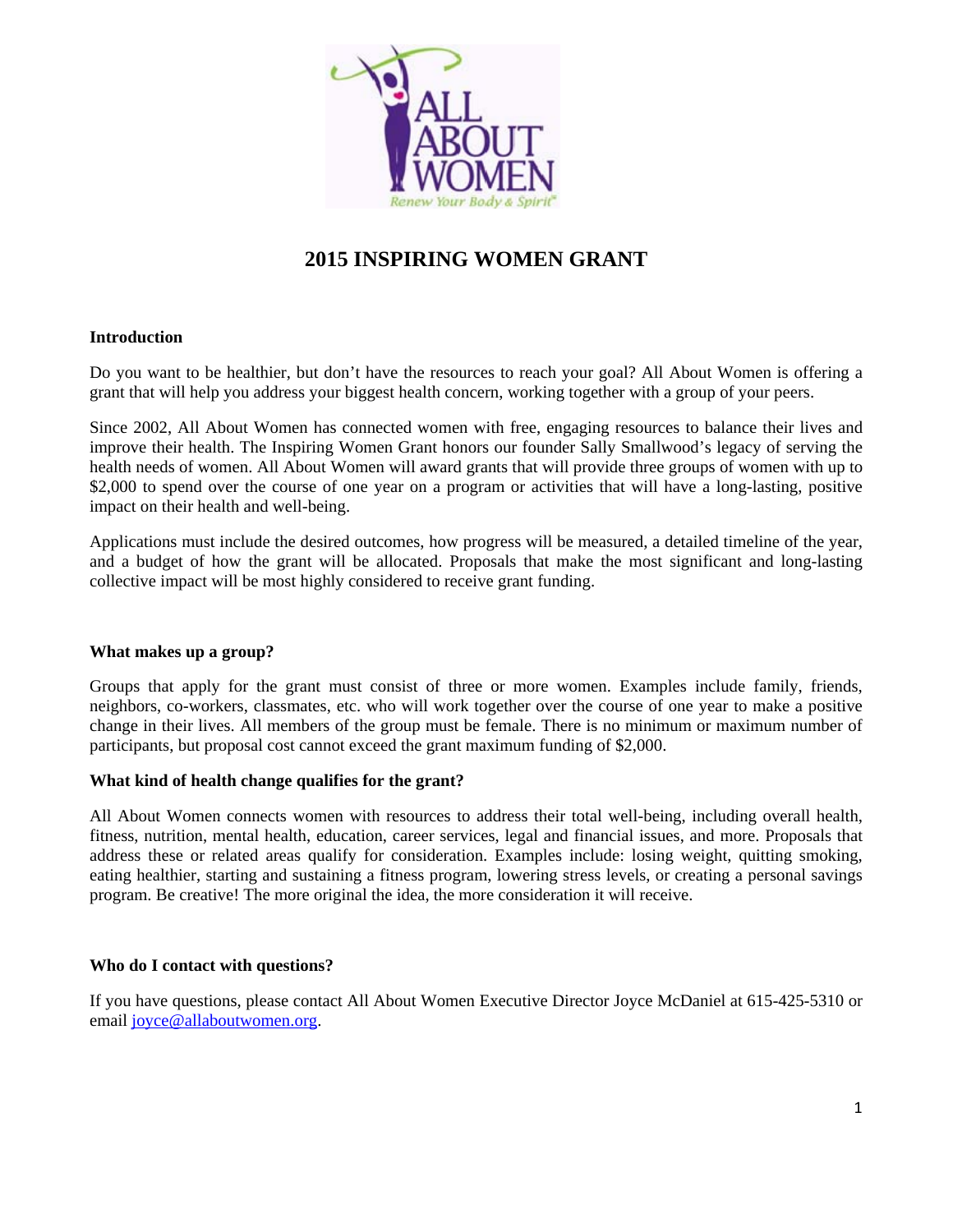

# **2015 INSPIRING WOMEN GRANT**

# **Introduction**

Do you want to be healthier, but don't have the resources to reach your goal? All About Women is offering a grant that will help you address your biggest health concern, working together with a group of your peers.

Since 2002, All About Women has connected women with free, engaging resources to balance their lives and improve their health. The Inspiring Women Grant honors our founder Sally Smallwood's legacy of serving the health needs of women. All About Women will award grants that will provide three groups of women with up to \$2,000 to spend over the course of one year on a program or activities that will have a long-lasting, positive impact on their health and well-being.

Applications must include the desired outcomes, how progress will be measured, a detailed timeline of the year, and a budget of how the grant will be allocated. Proposals that make the most significant and long-lasting collective impact will be most highly considered to receive grant funding.

# **What makes up a group?**

Groups that apply for the grant must consist of three or more women. Examples include family, friends, neighbors, co-workers, classmates, etc. who will work together over the course of one year to make a positive change in their lives. All members of the group must be female. There is no minimum or maximum number of participants, but proposal cost cannot exceed the grant maximum funding of \$2,000.

# **What kind of health change qualifies for the grant?**

All About Women connects women with resources to address their total well-being, including overall health, fitness, nutrition, mental health, education, career services, legal and financial issues, and more. Proposals that address these or related areas qualify for consideration. Examples include: losing weight, quitting smoking, eating healthier, starting and sustaining a fitness program, lowering stress levels, or creating a personal savings program. Be creative! The more original the idea, the more consideration it will receive.

# **Who do I contact with questions?**

If you have questions, please contact All About Women Executive Director Joyce McDaniel at 615-425-5310 or email [joyce@allaboutwomen.org.](mailto:joyce@allaboutwomen.org)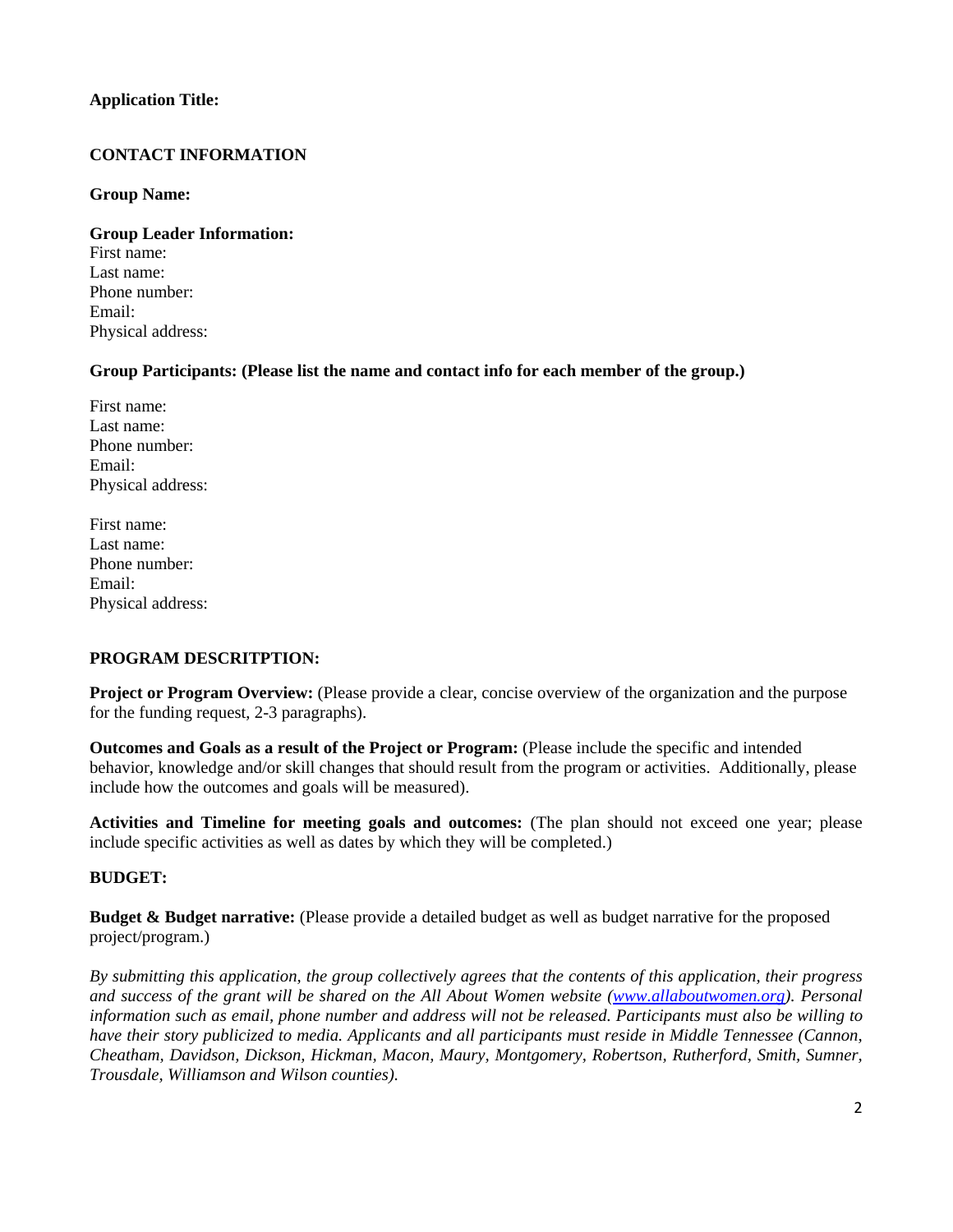# **Application Title:**

# **CONTACT INFORMATION**

#### **Group Name:**

**Group Leader Information:**  First name: Last name: Phone number: Email: Physical address:

# **Group Participants: (Please list the name and contact info for each member of the group.)**

First name: Last name: Phone number: Email: Physical address:

First name: Last name: Phone number: Email: Physical address:

# **PROGRAM DESCRITPTION:**

**Project or Program Overview:** (Please provide a clear, concise overview of the organization and the purpose for the funding request, 2-3 paragraphs).

**Outcomes and Goals as a result of the Project or Program:** (Please include the specific and intended behavior, knowledge and/or skill changes that should result from the program or activities. Additionally, please include how the outcomes and goals will be measured).

**Activities and Timeline for meeting goals and outcomes:** (The plan should not exceed one year; please include specific activities as well as dates by which they will be completed.)

# **BUDGET:**

**Budget & Budget narrative:** (Please provide a detailed budget as well as budget narrative for the proposed project/program.)

*By submitting this application, the group collectively agrees that the contents of this application, their progress and success of the grant will be shared on the All About Women website [\(www.allaboutwomen.org\)](http://allaboutwomen.org/). Personal information such as email, phone number and address will not be released. Participants must also be willing to have their story publicized to media. Applicants and all participants must reside in Middle Tennessee (Cannon, Cheatham, Davidson, Dickson, Hickman, Macon, Maury, Montgomery, Robertson, Rutherford, Smith, Sumner, Trousdale, Williamson and Wilson counties).*